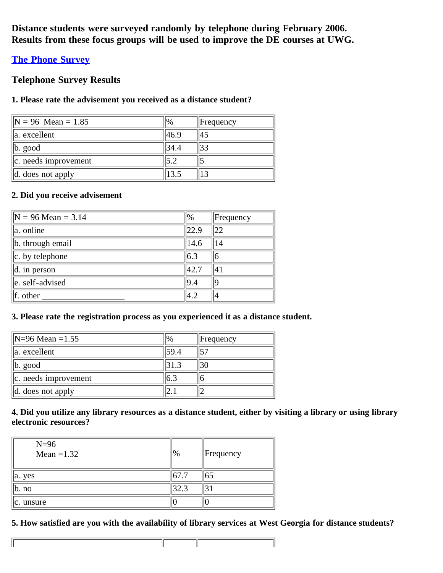**Distance students were surveyed randomly by telephone during February 2006. Results from these focus groups will be used to improve the DE courses at UWG.**

# **[The Phone Survey](http://www.westga.edu/%7Edistance/data/eval/interview.html)**

# **Telephone Survey Results**

## **1. Please rate the advisement you received as a distance student?**

| $\text{IN} = 96$ Mean = 1.85  | $\%$  | $\parallel$ Frequency |
|-------------------------------|-------|-----------------------|
| lla. excellent                | 46.9  | 45                    |
| $\ $ b. good                  | 134.4 | 33                    |
| $\ c\ $ . needs improvement   |       |                       |
| $\parallel$ d. does not apply | 13.5  |                       |

## **2. Did you receive advisement**

 $\mathbb{F}$ 

| $\text{N} = 96 \text{ Mean} = 3.14$ | $\frac{10}{6}$ | $ $ Frequency |
|-------------------------------------|----------------|---------------|
| lla. online                         | 22.9           | 22            |
| b. through email                    | 14.6           |               |
| $\ c.$ by telephone                 | 6.3            | 6             |
| $\parallel$ d. in person            | 42.7           | 41            |
| e. self-advised                     | 9.4            | ١q            |
| $\parallel$ f. other                | 4.2            | 14            |

## **3. Please rate the registration process as you experienced it as a distance student.**

| $\text{N=96}$ Mean =1.55 | $\%$ | $\parallel$ Frequency |
|--------------------------|------|-----------------------|
| la. excellent            | 59.4 | 57                    |
| $\ b. \text{ good}\ $    |      | 30                    |
| $ c.$ needs improvement  |      |                       |
| $ d.$ does not apply     |      |                       |

## **4. Did you utilize any library resources as a distance student, either by visiting a library or using library electronic resources?**

| $N=96$<br>Mean $=1.32$ | $\frac{10}{6}$ | $\parallel$ Frequency |
|------------------------|----------------|-----------------------|
| a. yes                 | .167.7         | 165                   |
| b. no                  |                |                       |
| c. unsure              |                |                       |

# **5. How satisfied are you with the availability of library services at West Georgia for distance students?**

╢

T

ТГ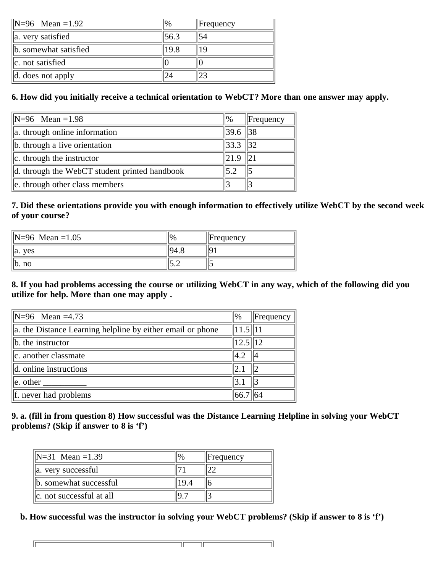| $\text{N=96}$ Mean = 1.92     | $\frac{10}{6}$ | $\parallel$ Frequency |
|-------------------------------|----------------|-----------------------|
| $\ $ a. very satisfied        | 56.3           | 54                    |
| b. somewhat satisfied         | 19.8           |                       |
| $\ c.$ not satisfied          |                |                       |
| $\parallel$ d. does not apply |                |                       |

# **6. How did you initially receive a technical orientation to WebCT? More than one answer may apply.**

| $\text{N=96}$ Mean = 1.98                     | %            | $\ $ Frequency |
|-----------------------------------------------|--------------|----------------|
| $\ $ a. through online information            | $\ 39.6\ 38$ |                |
| b. through a live orientation                 | 33.3         |                |
| $\vert$ c. through the instructor             | 21.9         |                |
| d. through the WebCT student printed handbook |              |                |
| e. through other class members                |              |                |

## **7. Did these orientations provide you with enough information to effectively utilize WebCT by the second week of your course?**

| $\text{IN} = 96$ Mean = 1.05 | $\frac{10}{6}$ | $\parallel$ Frequency |
|------------------------------|----------------|-----------------------|
| <b>ves</b><br>la.            | -194           |                       |
| lb. no                       | ے . د          | ۔ ا                   |

# **8. If you had problems accessing the course or utilizing WebCT in any way, which of the following did you utilize for help. More than one may apply .**

| $\text{N=96}$ Mean =4.73                                   | %             | Frequency |
|------------------------------------------------------------|---------------|-----------|
| a. the Distance Learning helpline by either email or phone | $\ 11.5\ 11$  |           |
| $\ $ b. the instructor                                     | $12.5$   12   |           |
| c. another classmate                                       | $ 4.2\rangle$ | 14        |
| $\parallel$ d. online instructions                         |               |           |
| $\vert$ e. other                                           | 13.1          |           |
| $\ f\ $ . never had problems                               | 66.7   64     |           |

## **9. a. (fill in from question 8) How successful was the Distance Learning Helpline in solving your WebCT problems? (Skip if answer to 8 is 'f')**

| $IN=31$ Mean = 1.39                   | $\frac{10}{6}$ | Frequency |
|---------------------------------------|----------------|-----------|
| a. very successful                    |                |           |
| b. somewhat successful                |                |           |
| $\vert\vert$ c. not successful at all |                |           |

**b. How successful was the instructor in solving your WebCT problems? (Skip if answer to 8 is 'f')**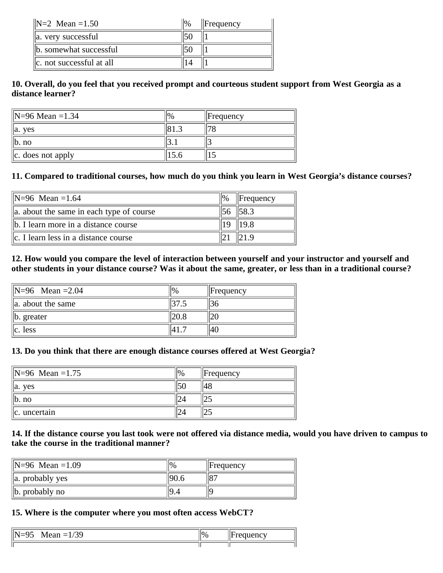| $\text{IN} = 2 \text{ Mean} = 1.50$ | $\frac{10}{6}$ | $\parallel$ Frequency |
|-------------------------------------|----------------|-----------------------|
| a. very successful                  | 50             |                       |
| b. somewhat successful              | 50             |                       |
| $\ c\ $ not successful at all       |                |                       |

### **10. Overall, do you feel that you received prompt and courteous student support from West Georgia as a distance learner?**

| $\text{IN} = 96 \text{ Mean} = 1.34$ | $\parallel$ Frequency |
|--------------------------------------|-----------------------|
| <b>ves</b><br>$\parallel$ a.         |                       |
| $\mathbf{I}$ b. no                   |                       |
| $\ c. \ \cos \theta$ not apply       |                       |

#### **11. Compared to traditional courses, how much do you think you learn in West Georgia's distance courses?**

| $\text{IN} = 96$ Mean = 1.64                | $\frac{10}{6}$ | $\parallel$ Frequency |
|---------------------------------------------|----------------|-----------------------|
| a. about the same in each type of course    |                |                       |
| $\ $ b. I learn more in a distance course   |                | 19.8                  |
| $\ c\ $ . I learn less in a distance course |                |                       |

#### **12. How would you compare the level of interaction between yourself and your instructor and yourself and other students in your distance course? Was it about the same, greater, or less than in a traditional course?**

| $ N=96$ Mean = 2.04           | $\parallel$ Frequency |
|-------------------------------|-----------------------|
| $\parallel$ a. about the same |                       |
| $\ $ b. greater               |                       |
| llc. Iess                     | '14t                  |

#### **13. Do you think that there are enough distance courses offered at West Georgia?**

| $\text{IN} = 96$ Mean = 1.75 | $\frac{10}{6}$ | $\parallel$ Frequency |
|------------------------------|----------------|-----------------------|
| $\parallel$ a. yes           | E C<br>IJU     |                       |
| $\ $ b. no                   | 24             |                       |
| $\alpha$ . uncertain         | 24             |                       |

### **14. If the distance course you last took were not offered via distance media, would you have driven to campus to take the course in the traditional manner?**

| $\text{IN} = 96 \text{ Mean} = 1.09$ | $\%$ | $\parallel$ Frequency |
|--------------------------------------|------|-----------------------|
| $\ $ a. probably yes                 |      | $18-$                 |
| $\ $ b. probably no                  |      |                       |

#### **15. Where is the computer where you most often access WebCT?**

| $\sim$<br>۱Ŋ<br>_<br><b>Nean</b><br>__<br>11.57<br>$\overline{\phantom{0}}$ | $\frac{10}{6}$<br>$^{\prime}$ | $\sim$<br>$d$ estection $\sim$<br><br>$\sim$ |
|-----------------------------------------------------------------------------|-------------------------------|----------------------------------------------|
|                                                                             |                               |                                              |